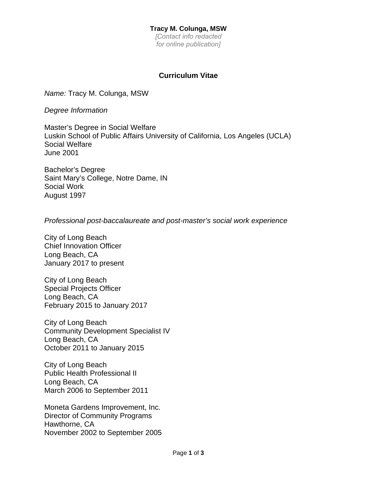## **Tracy M. Colunga, MSW**

*[Contact info redacted for online publication]*

# **Curriculum Vitae**

*Name:* Tracy M. Colunga, MSW

*Degree Information*

Master's Degree in Social Welfare Luskin School of Public Affairs University of California, Los Angeles (UCLA) Social Welfare June 2001

Bachelor's Degree Saint Mary's College, Notre Dame, IN Social Work August 1997

*Professional post-baccalaureate and post-master's social work experience*

City of Long Beach Chief Innovation Officer Long Beach, CA January 2017 to present

City of Long Beach Special Projects Officer Long Beach, CA February 2015 to January 2017

City of Long Beach Community Development Specialist IV Long Beach, CA October 2011 to January 2015

City of Long Beach Public Health Professional II Long Beach, CA March 2006 to September 2011

Moneta Gardens Improvement, Inc. Director of Community Programs Hawthorne, CA November 2002 to September 2005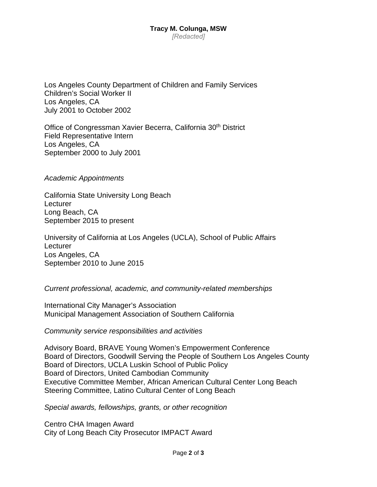#### **Tracy M. Colunga, MSW**  *[Redacted]*

Los Angeles County Department of Children and Family Services Children's Social Worker II Los Angeles, CA July 2001 to October 2002

Office of Congressman Xavier Becerra, California 30th District Field Representative Intern Los Angeles, CA September 2000 to July 2001

*Academic Appointments*

California State University Long Beach **Lecturer** Long Beach, CA September 2015 to present

University of California at Los Angeles (UCLA), School of Public Affairs **Lecturer** Los Angeles, CA September 2010 to June 2015

### *Current professional, academic, and community-related memberships*

International City Manager's Association Municipal Management Association of Southern California

*Community service responsibilities and activities*

Advisory Board, BRAVE Young Women's Empowerment Conference Board of Directors, Goodwill Serving the People of Southern Los Angeles County Board of Directors, UCLA Luskin School of Public Policy Board of Directors, United Cambodian Community Executive Committee Member, African American Cultural Center Long Beach Steering Committee, Latino Cultural Center of Long Beach

*Special awards, fellowships, grants, or other recognition* 

Centro CHA Imagen Award City of Long Beach City Prosecutor IMPACT Award